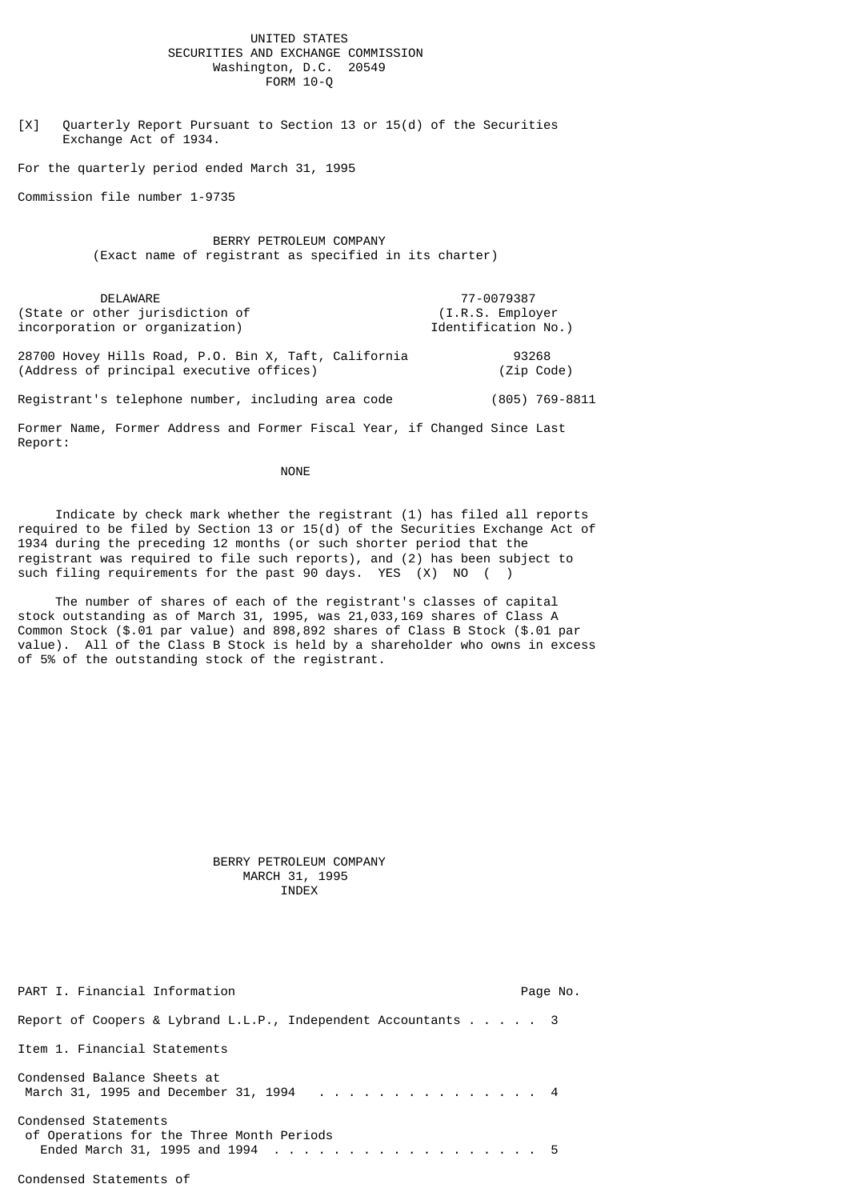## UNITED STATES SECURITIES AND EXCHANGE COMMISSION Washington, D.C. 20549  $FORM 10-0$

[X] Quarterly Report Pursuant to Section 13 or 15(d) of the Securities Exchange Act of 1934.

For the quarterly period ended March 31, 1995

Commission file number 1-9735

 BERRY PETROLEUM COMPANY (Exact name of registrant as specified in its charter)

DELAWARE 77-0079387<br>bther jurisdiction of the state of the function of the state of the state of the state of the state of the sta (State or other jurisdiction of incorporation or organization) and incorporation No.) 28700 Hovey Hills Road, P.O. Bin X, Taft, California 93268 (Address of principal executive offices) (Zip Code)

Registrant's telephone number, including area code (805) 769-8811

Former Name, Former Address and Former Fiscal Year, if Changed Since Last Report:

NONE **NONE** 

 Indicate by check mark whether the registrant (1) has filed all reports required to be filed by Section 13 or  $15(d)$  of the Securities Exchange Act of 1934 during the preceding 12 months (or such shorter period that the registrant was required to file such reports), and (2) has been subject to such filing requirements for the past 90 days. YES (X) NO ()

 The number of shares of each of the registrant's classes of capital stock outstanding as of March 31, 1995, was 21,033,169 shares of Class A Common Stock (\$.01 par value) and 898,892 shares of Class B Stock (\$.01 par value). All of the Class B Stock is held by a shareholder who owns in excess of 5% of the outstanding stock of the registrant.

 BERRY PETROLEUM COMPANY MARCH 31, 1995 INDEX

| PART I. Financial Information                                         | Page No. |
|-----------------------------------------------------------------------|----------|
| Report of Coopers & Lybrand L.L.P., Independent Accountants 3         |          |
| Item 1. Financial Statements                                          |          |
| Condensed Balance Sheets at<br>March 31, 1995 and December 31, 1994 4 |          |
| Condensed Statements<br>of Operations for the Three Month Periods     |          |

## Condensed Statements of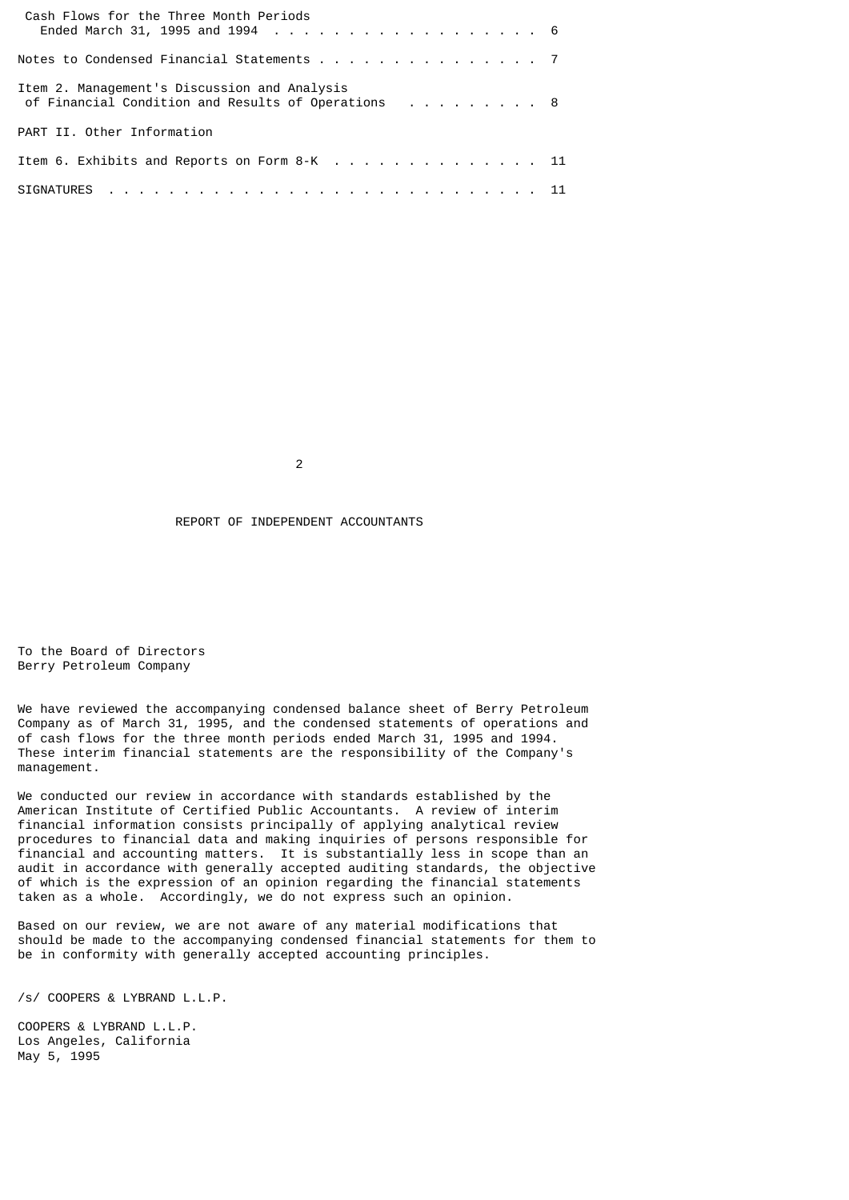| Cash Flows for the Three Month Periods                                                             |
|----------------------------------------------------------------------------------------------------|
|                                                                                                    |
| Notes to Condensed Financial Statements 7                                                          |
| Item 2. Management's Discussion and Analysis<br>of Financial Condition and Results of Operations 8 |
| PART II, Other Information                                                                         |
| Item 6. Exhibits and Reports on Form 8-K 11                                                        |
|                                                                                                    |

2

REPORT OF INDEPENDENT ACCOUNTANTS

To the Board of Directors Berry Petroleum Company

We have reviewed the accompanying condensed balance sheet of Berry Petroleum Company as of March 31, 1995, and the condensed statements of operations and of cash flows for the three month periods ended March 31, 1995 and 1994. These interim financial statements are the responsibility of the Company's management.

We conducted our review in accordance with standards established by the American Institute of Certified Public Accountants. A review of interim financial information consists principally of applying analytical review procedures to financial data and making inquiries of persons responsible for financial and accounting matters. It is substantially less in scope than an audit in accordance with generally accepted auditing standards, the objective of which is the expression of an opinion regarding the financial statements taken as a whole. Accordingly, we do not express such an opinion.

Based on our review, we are not aware of any material modifications that should be made to the accompanying condensed financial statements for them to be in conformity with generally accepted accounting principles.

/s/ COOPERS & LYBRAND L.L.P.

COOPERS & LYBRAND L.L.P. Los Angeles, California May 5, 1995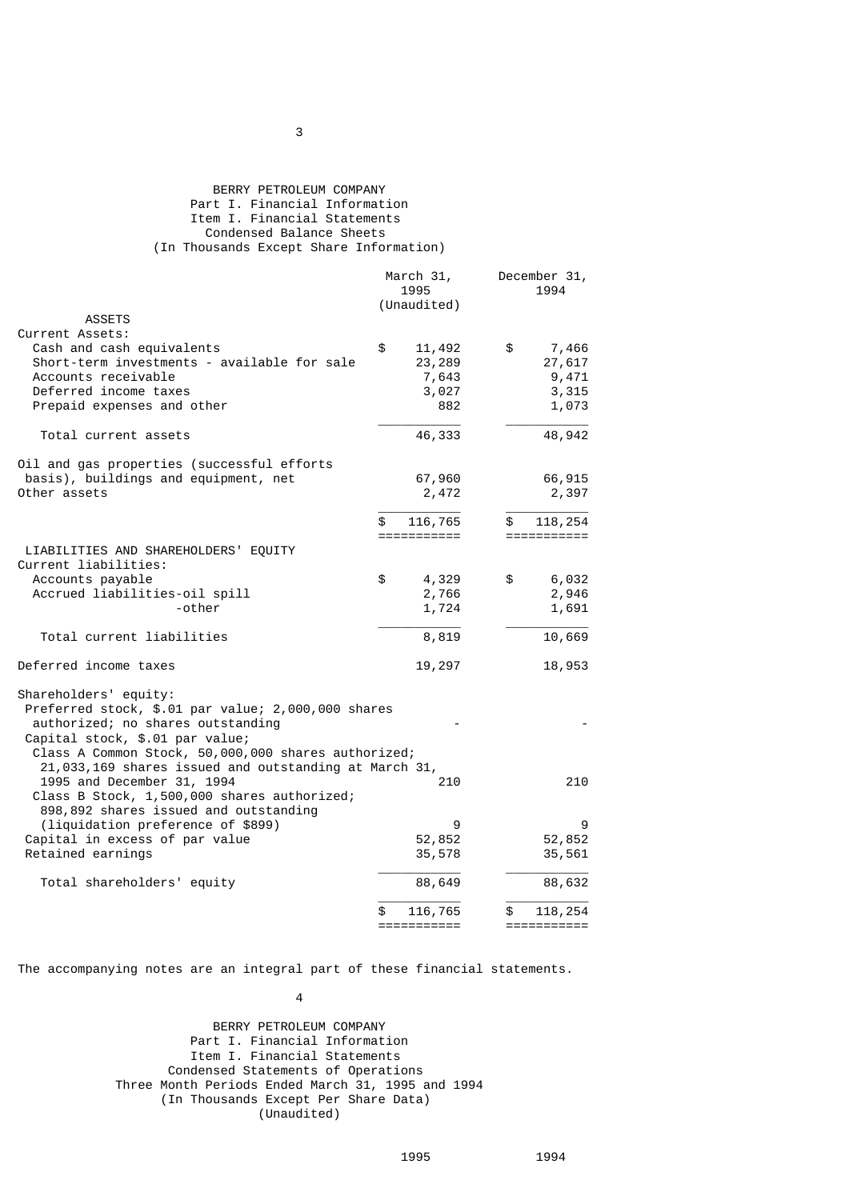# BERRY PETROLEUM COMPANY Part I. Financial Information Item I. Financial Statements Condensed Balance Sheets (In Thousands Except Share Information)

|                                                                                         | March 31,<br>1995<br>(Unaudited) | December 31,<br>1994 |
|-----------------------------------------------------------------------------------------|----------------------------------|----------------------|
| <b>ASSETS</b>                                                                           |                                  |                      |
| Current Assets:                                                                         |                                  |                      |
| Cash and cash equivalents                                                               | \$<br>11,492                     | \$<br>7,466          |
| Short-term investments - available for sale                                             | 23,289                           | 27,617               |
| Accounts receivable                                                                     | 7,643                            | 9,471                |
| Deferred income taxes                                                                   | 3,027                            | 3,315                |
| Prepaid expenses and other                                                              | 882                              | 1,073                |
| Total current assets                                                                    | 46,333                           | 48,942               |
| Oil and gas properties (successful efforts                                              |                                  |                      |
| basis), buildings and equipment, net                                                    | 67,960                           | 66,915               |
| Other assets                                                                            | 2,472                            | 2,397                |
|                                                                                         | 116,765<br>\$                    | 118, 254<br>\$       |
|                                                                                         | ===========                      | ===========          |
| LIABILITIES AND SHAREHOLDERS' EQUITY                                                    |                                  |                      |
| Current liabilities:                                                                    |                                  |                      |
| Accounts payable                                                                        | \$<br>4,329                      | 6,032<br>\$          |
| Accrued liabilities-oil spill                                                           | 2,766                            | 2,946                |
| -other                                                                                  | 1,724                            | 1,691                |
| Total current liabilities                                                               | 8,819                            | 10,669               |
| Deferred income taxes                                                                   | 19,297                           | 18,953               |
| Shareholders' equity:                                                                   |                                  |                      |
| Preferred stock, \$.01 par value; 2,000,000 shares<br>authorized; no shares outstanding |                                  |                      |
| Capital stock, \$.01 par value;                                                         |                                  |                      |
| Class A Common Stock, 50,000,000 shares authorized;                                     |                                  |                      |
| 21,033,169 shares issued and outstanding at March 31,                                   |                                  |                      |
| 1995 and December 31, 1994                                                              | 210                              | 210                  |
| Class B Stock, 1,500,000 shares authorized;                                             |                                  |                      |
| 898,892 shares issued and outstanding                                                   |                                  |                      |
| (liquidation preference of \$899)                                                       | 9                                | 9                    |
| Capital in excess of par value                                                          | 52,852                           | 52,852               |
| Retained earnings                                                                       | 35,578                           | 35,561               |
| Total shareholders' equity                                                              | 88,649                           | 88,632               |
|                                                                                         | 116,765                          | 118,254<br>æ.        |
|                                                                                         | ===========                      | ===========          |

The accompanying notes are an integral part of these financial statements.

4

 BERRY PETROLEUM COMPANY Part I. Financial Information Item I. Financial Statements Condensed Statements of Operations Three Month Periods Ended March 31, 1995 and 1994 (In Thousands Except Per Share Data) (Unaudited)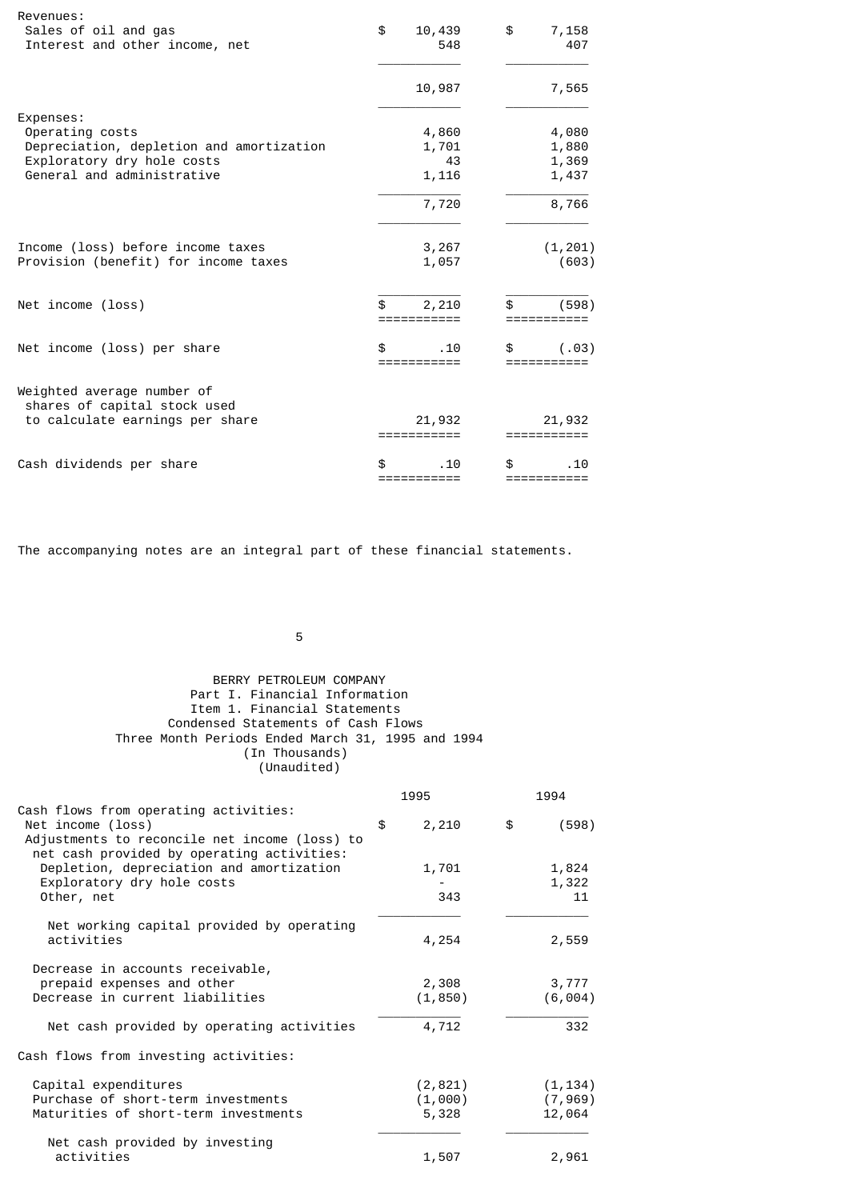| Revenues:                                                  |                          |             |
|------------------------------------------------------------|--------------------------|-------------|
| Sales of oil and gas                                       | \$<br>10,439             | \$<br>7,158 |
| Interest and other income, net                             | 548                      | 407         |
|                                                            | 10,987                   | 7,565       |
| Expenses:                                                  |                          |             |
| Operating costs                                            | 4,860                    | 4,080       |
| Depreciation, depletion and amortization                   | 1,701                    | 1,880       |
| Exploratory dry hole costs                                 | 43                       | 1,369       |
| General and administrative                                 | 1,116                    | 1,437       |
|                                                            | 7,720                    | 8,766       |
| Income (loss) before income taxes                          | 3,267                    | (1, 201)    |
| Provision (benefit) for income taxes                       | 1,057                    | (603)       |
|                                                            |                          |             |
| Net income (loss)                                          | \$<br>2,210<br>========= | \$<br>(598) |
| Net income (loss) per share                                | \$<br>. 10<br>========== | (.03)       |
| Weighted average number of<br>shares of capital stock used |                          |             |
| to calculate earnings per share                            | 21,932                   | 21,932      |
| Cash dividends per share                                   | . 10<br>=======          | \$<br>. 10  |
|                                                            |                          |             |

The accompanying notes are an integral part of these financial statements.

 $\sim$  5  $\sim$  5  $\sim$  5  $\sim$  5  $\sim$  5  $\sim$  5  $\sim$  5  $\sim$  5  $\sim$  5  $\sim$  5  $\sim$  5  $\sim$  5  $\sim$  5  $\sim$  5  $\sim$  5  $\sim$  5  $\sim$  5  $\sim$  5  $\sim$  5  $\sim$  5  $\sim$  5  $\sim$  5  $\sim$  5  $\sim$  5  $\sim$  5  $\sim$  5  $\sim$  5  $\sim$  5  $\sim$  5  $\sim$  5  $\sim$  5  $\sim$ 

# BERRY PETROLEUM COMPANY Part I. Financial Information Item 1. Financial Statements Condensed Statements of Cash Flows Three Month Periods Ended March 31, 1995 and 1994 (In Thousands) (Unaudited)

|                                                                                                                                                           | 1995             | 1994               |
|-----------------------------------------------------------------------------------------------------------------------------------------------------------|------------------|--------------------|
| Cash flows from operating activities:<br>Net income (loss)<br>Adjustments to reconcile net income (loss) to<br>net cash provided by operating activities: | \$<br>2,210      | \$<br>(598)        |
| Depletion, depreciation and amortization<br>Exploratory dry hole costs                                                                                    | 1,701            | 1,824<br>1,322     |
| Other, net                                                                                                                                                | 343              | 11                 |
| Net working capital provided by operating<br>activities                                                                                                   | 4,254            | 2,559              |
| Decrease in accounts receivable,<br>prepaid expenses and other                                                                                            | 2,308            | 3,777              |
| Decrease in current liabilities                                                                                                                           | (1, 850)         | (6, 004)           |
| Net cash provided by operating activities                                                                                                                 | 4,712            | 332                |
| Cash flows from investing activities:                                                                                                                     |                  |                    |
| Capital expenditures                                                                                                                                      | (2,821)          | (1, 134)           |
| Purchase of short-term investments<br>Maturities of short-term investments                                                                                | (1,000)<br>5,328 | (7, 969)<br>12,064 |
| Net cash provided by investing                                                                                                                            |                  |                    |
| activities                                                                                                                                                | 1,507            | 2,961              |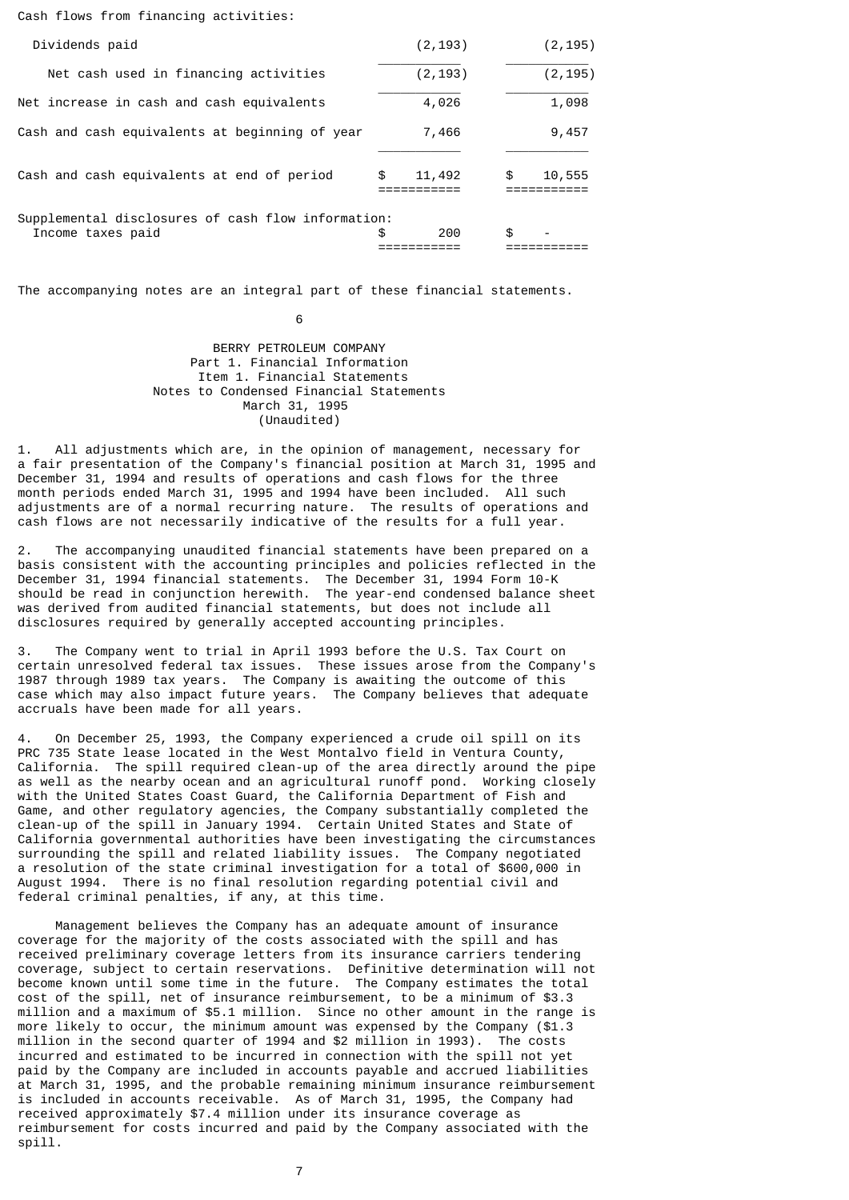#### Cash flows from financing activities:

| Dividends paid                                                          | (2, 193)     | (2, 195)     |
|-------------------------------------------------------------------------|--------------|--------------|
| Net cash used in financing activities                                   | (2, 193)     | (2, 195)     |
| Net increase in cash and cash equivalents                               | 4,026        | 1,098        |
| Cash and cash equivalents at beginning of year                          | 7,466        | 9,457        |
| Cash and cash equivalents at end of period                              | \$<br>11,492 | \$<br>10,555 |
| Supplemental disclosures of cash flow information:<br>Income taxes paid | \$<br>200    | \$           |

The accompanying notes are an integral part of these financial statements.

 $\sim$  6

### BERRY PETROLEUM COMPANY Part 1. Financial Information Item 1. Financial Statements Notes to Condensed Financial Statements March 31, 1995 (Unaudited)

1. All adjustments which are, in the opinion of management, necessary for a fair presentation of the Company's financial position at March 31, 1995 and December 31, 1994 and results of operations and cash flows for the three month periods ended March 31, 1995 and 1994 have been included. All such adjustments are of a normal recurring nature. The results of operations and cash flows are not necessarily indicative of the results for a full year.

2. The accompanying unaudited financial statements have been prepared on a basis consistent with the accounting principles and policies reflected in the December 31, 1994 financial statements. The December 31, 1994 Form 10-K should be read in conjunction herewith. The year-end condensed balance sheet was derived from audited financial statements, but does not include all disclosures required by generally accepted accounting principles.

3. The Company went to trial in April 1993 before the U.S. Tax Court on certain unresolved federal tax issues. These issues arose from the Company's 1987 through 1989 tax years. The Company is awaiting the outcome of this case which may also impact future years. The Company believes that adequate accruals have been made for all years.

4. On December 25, 1993, the Company experienced a crude oil spill on its PRC 735 State lease located in the West Montalvo field in Ventura County, California. The spill required clean-up of the area directly around the pipe as well as the nearby ocean and an agricultural runoff pond. Working closely with the United States Coast Guard, the California Department of Fish and Game, and other regulatory agencies, the Company substantially completed the clean-up of the spill in January 1994. Certain United States and State of California governmental authorities have been investigating the circumstances surrounding the spill and related liability issues. The Company negotiated a resolution of the state criminal investigation for a total of \$600,000 in August 1994. There is no final resolution regarding potential civil and federal criminal penalties, if any, at this time.

 Management believes the Company has an adequate amount of insurance coverage for the majority of the costs associated with the spill and has received preliminary coverage letters from its insurance carriers tendering coverage, subject to certain reservations. Definitive determination will not become known until some time in the future. The Company estimates the total cost of the spill, net of insurance reimbursement, to be a minimum of \$3.3 million and a maximum of \$5.1 million. Since no other amount in the range is more likely to occur, the minimum amount was expensed by the Company (\$1.3 million in the second quarter of 1994 and \$2 million in 1993). The costs incurred and estimated to be incurred in connection with the spill not yet paid by the Company are included in accounts payable and accrued liabilities at March 31, 1995, and the probable remaining minimum insurance reimbursement is included in accounts receivable. As of March 31, 1995, the Company had received approximately \$7.4 million under its insurance coverage as reimbursement for costs incurred and paid by the Company associated with the spill.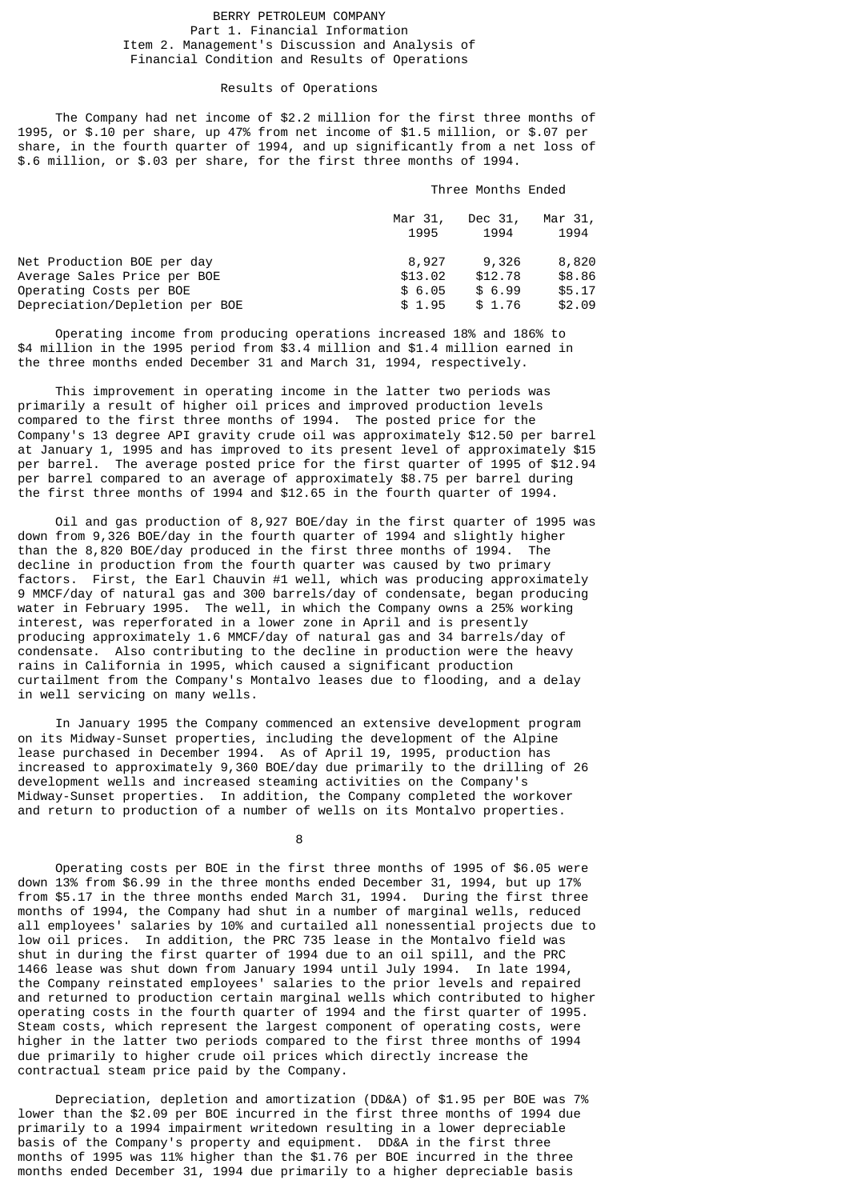## BERRY PETROLEUM COMPANY Part 1. Financial Information Item 2. Management's Discussion and Analysis of Financial Condition and Results of Operations

## Results of Operations

 The Company had net income of \$2.2 million for the first three months of 1995, or \$.10 per share, up 47% from net income of \$1.5 million, or \$.07 per share, in the fourth quarter of 1994, and up significantly from a net loss of \$.6 million, or \$.03 per share, for the first three months of 1994.

# Three Months Ended

|                                | Mar 31,<br>1995 | Dec 31,<br>1994 | Mar 31,<br>1994 |
|--------------------------------|-----------------|-----------------|-----------------|
| Net Production BOE per day     | 8,927           | 9,326           | 8,820           |
| Average Sales Price per BOE    | \$13.02         | \$12.78         | \$8.86          |
| Operating Costs per BOE        | \$6.05          | \$6.99          | \$5.17          |
| Depreciation/Depletion per BOE | \$1.95          | \$1.76          | \$2.09          |

 Operating income from producing operations increased 18% and 186% to \$4 million in the 1995 period from \$3.4 million and \$1.4 million earned in the three months ended December 31 and March 31, 1994, respectively.

 This improvement in operating income in the latter two periods was primarily a result of higher oil prices and improved production levels compared to the first three months of 1994. The posted price for the Company's 13 degree API gravity crude oil was approximately \$12.50 per barrel at January 1, 1995 and has improved to its present level of approximately \$15 per barrel. The average posted price for the first quarter of 1995 of \$12.94 per barrel compared to an average of approximately \$8.75 per barrel during the first three months of 1994 and \$12.65 in the fourth quarter of 1994.

 Oil and gas production of 8,927 BOE/day in the first quarter of 1995 was down from 9,326 BOE/day in the fourth quarter of 1994 and slightly higher than the 8,820 BOE/day produced in the first three months of 1994. The decline in production from the fourth quarter was caused by two primary factors. First, the Earl Chauvin #1 well, which was producing approximately 9 MMCF/day of natural gas and 300 barrels/day of condensate, began producing water in February 1995. The well, in which the Company owns a 25% working interest, was reperforated in a lower zone in April and is presently producing approximately 1.6 MMCF/day of natural gas and 34 barrels/day of condensate. Also contributing to the decline in production were the heavy rains in California in 1995, which caused a significant production curtailment from the Company's Montalvo leases due to flooding, and a delay in well servicing on many wells.

 In January 1995 the Company commenced an extensive development program on its Midway-Sunset properties, including the development of the Alpine lease purchased in December 1994. As of April 19, 1995, production has increased to approximately 9,360 BOE/day due primarily to the drilling of 26 development wells and increased steaming activities on the Company's Midway-Sunset properties. In addition, the Company completed the workover and return to production of a number of wells on its Montalvo properties.

<u>8. Album - Andre Stein and Barbara and Barbara and Barbara and Barbara and Barbara and Barbara and Barbara and B</u>

 Operating costs per BOE in the first three months of 1995 of \$6.05 were down 13% from \$6.99 in the three months ended December 31, 1994, but up 17% from \$5.17 in the three months ended March 31, 1994. During the first three months of 1994, the Company had shut in a number of marginal wells, reduced all employees' salaries by 10% and curtailed all nonessential projects due to low oil prices. In addition, the PRC 735 lease in the Montalvo field was shut in during the first quarter of 1994 due to an oil spill, and the PRC 1466 lease was shut down from January 1994 until July 1994. In late 1994, the Company reinstated employees' salaries to the prior levels and repaired and returned to production certain marginal wells which contributed to higher operating costs in the fourth quarter of 1994 and the first quarter of 1995. Steam costs, which represent the largest component of operating costs, were higher in the latter two periods compared to the first three months of 1994 due primarily to higher crude oil prices which directly increase the contractual steam price paid by the Company.

 Depreciation, depletion and amortization (DD&A) of \$1.95 per BOE was 7% lower than the \$2.09 per BOE incurred in the first three months of 1994 due primarily to a 1994 impairment writedown resulting in a lower depreciable basis of the Company's property and equipment. DD&A in the first three months of 1995 was 11% higher than the \$1.76 per BOE incurred in the three months ended December 31, 1994 due primarily to a higher depreciable basis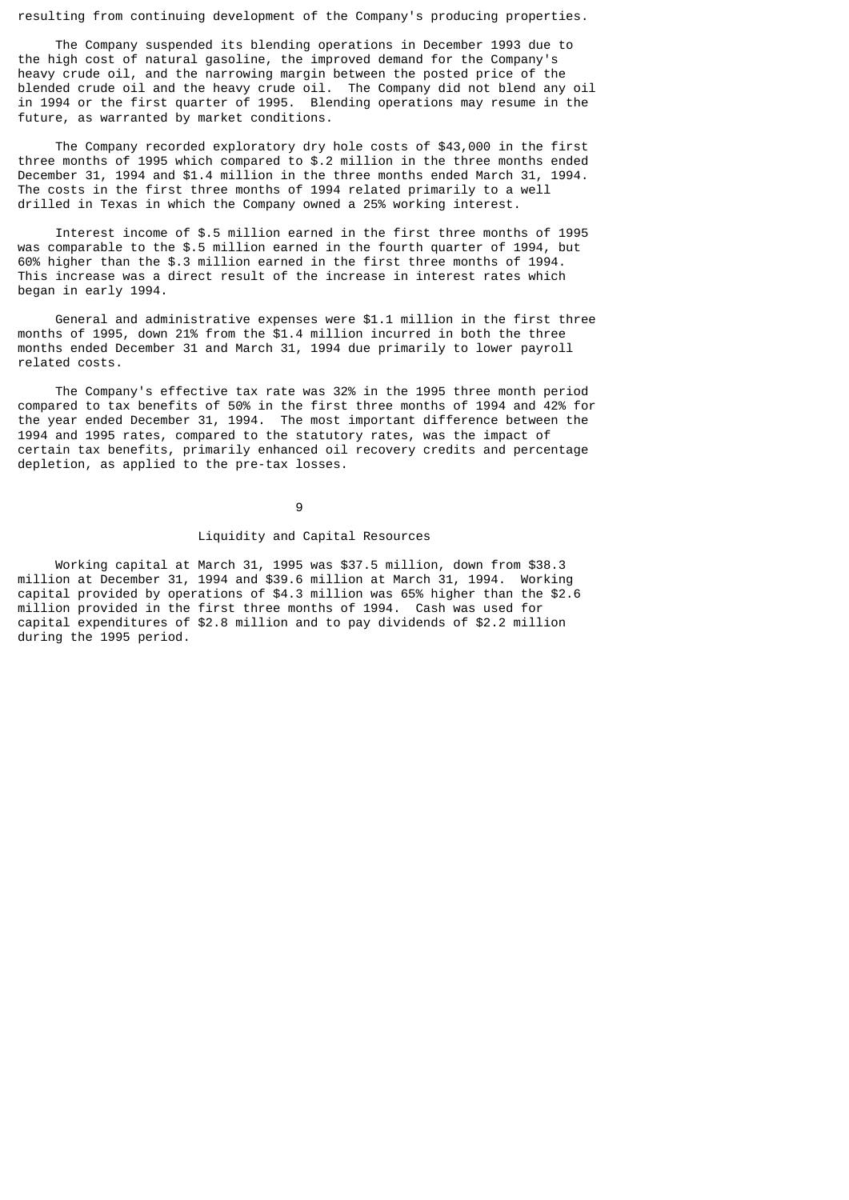resulting from continuing development of the Company's producing properties.

 The Company suspended its blending operations in December 1993 due to the high cost of natural gasoline, the improved demand for the Company's heavy crude oil, and the narrowing margin between the posted price of the blended crude oil and the heavy crude oil. The Company did not blend any oil in 1994 or the first quarter of 1995. Blending operations may resume in the future, as warranted by market conditions.

 The Company recorded exploratory dry hole costs of \$43,000 in the first three months of 1995 which compared to \$.2 million in the three months ended December 31, 1994 and \$1.4 million in the three months ended March 31, 1994. The costs in the first three months of 1994 related primarily to a well drilled in Texas in which the Company owned a 25% working interest.

 Interest income of \$.5 million earned in the first three months of 1995 was comparable to the \$.5 million earned in the fourth quarter of 1994, but 60% higher than the \$.3 million earned in the first three months of 1994. This increase was a direct result of the increase in interest rates which began in early 1994.

 General and administrative expenses were \$1.1 million in the first three months of 1995, down 21% from the \$1.4 million incurred in both the three months ended December 31 and March 31, 1994 due primarily to lower payroll related costs.

 The Company's effective tax rate was 32% in the 1995 three month period compared to tax benefits of 50% in the first three months of 1994 and 42% for the year ended December 31, 1994. The most important difference between the 1994 and 1995 rates, compared to the statutory rates, was the impact of certain tax benefits, primarily enhanced oil recovery credits and percentage depletion, as applied to the pre-tax losses.

9

## Liquidity and Capital Resources

 Working capital at March 31, 1995 was \$37.5 million, down from \$38.3 million at December 31, 1994 and \$39.6 million at March 31, 1994. Working capital provided by operations of \$4.3 million was 65% higher than the \$2.6 million provided in the first three months of 1994. Cash was used for capital expenditures of \$2.8 million and to pay dividends of \$2.2 million during the 1995 period.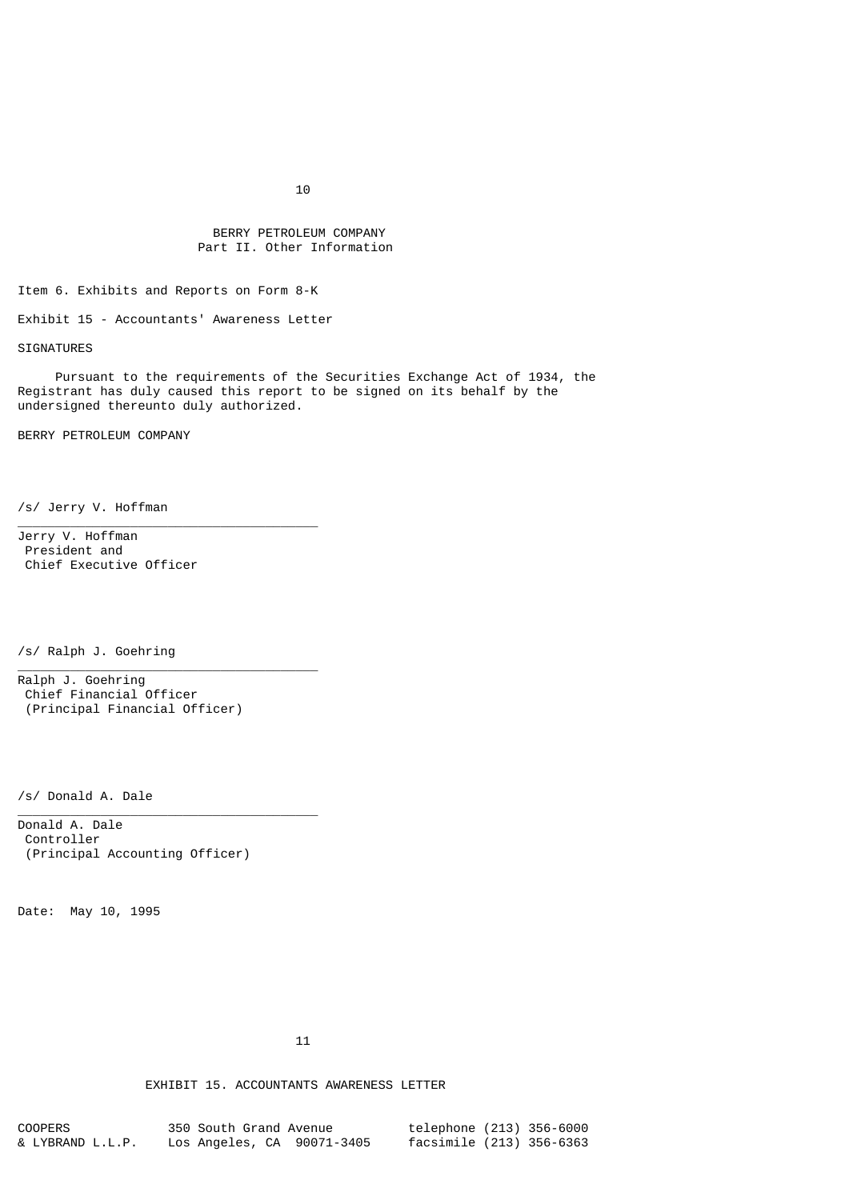# BERRY PETROLEUM COMPANY Part II. Other Information

Item 6. Exhibits and Reports on Form 8-K

Exhibit 15 - Accountants' Awareness Letter

\_\_\_\_\_\_\_\_\_\_\_\_\_\_\_\_\_\_\_\_\_\_\_\_\_\_\_\_\_\_\_\_\_\_\_\_\_\_\_\_

\_\_\_\_\_\_\_\_\_\_\_\_\_\_\_\_\_\_\_\_\_\_\_\_\_\_\_\_\_\_\_\_\_\_\_\_\_\_\_\_

\_\_\_\_\_\_\_\_\_\_\_\_\_\_\_\_\_\_\_\_\_\_\_\_\_\_\_\_\_\_\_\_\_\_\_\_\_\_\_\_

SIGNATURES

 Pursuant to the requirements of the Securities Exchange Act of 1934, the Registrant has duly caused this report to be signed on its behalf by the undersigned thereunto duly authorized.

BERRY PETROLEUM COMPANY

/s/ Jerry V. Hoffman

Jerry V. Hoffman President and Chief Executive Officer

/s/ Ralph J. Goehring

Ralph J. Goehring Chief Financial Officer (Principal Financial Officer)

/s/ Donald A. Dale

Donald A. Dale Controller (Principal Accounting Officer)

Date: May 10, 1995

 $11$ 

EXHIBIT 15. ACCOUNTANTS AWARENESS LETTER

| COOPERS          | 350 South Grand Avenue     | telephone (213) 356-6000 |  |
|------------------|----------------------------|--------------------------|--|
| & LYBRAND L.L.P. | Los Angeles, CA 90071-3405 | facsimile (213) 356-6363 |  |

 $10$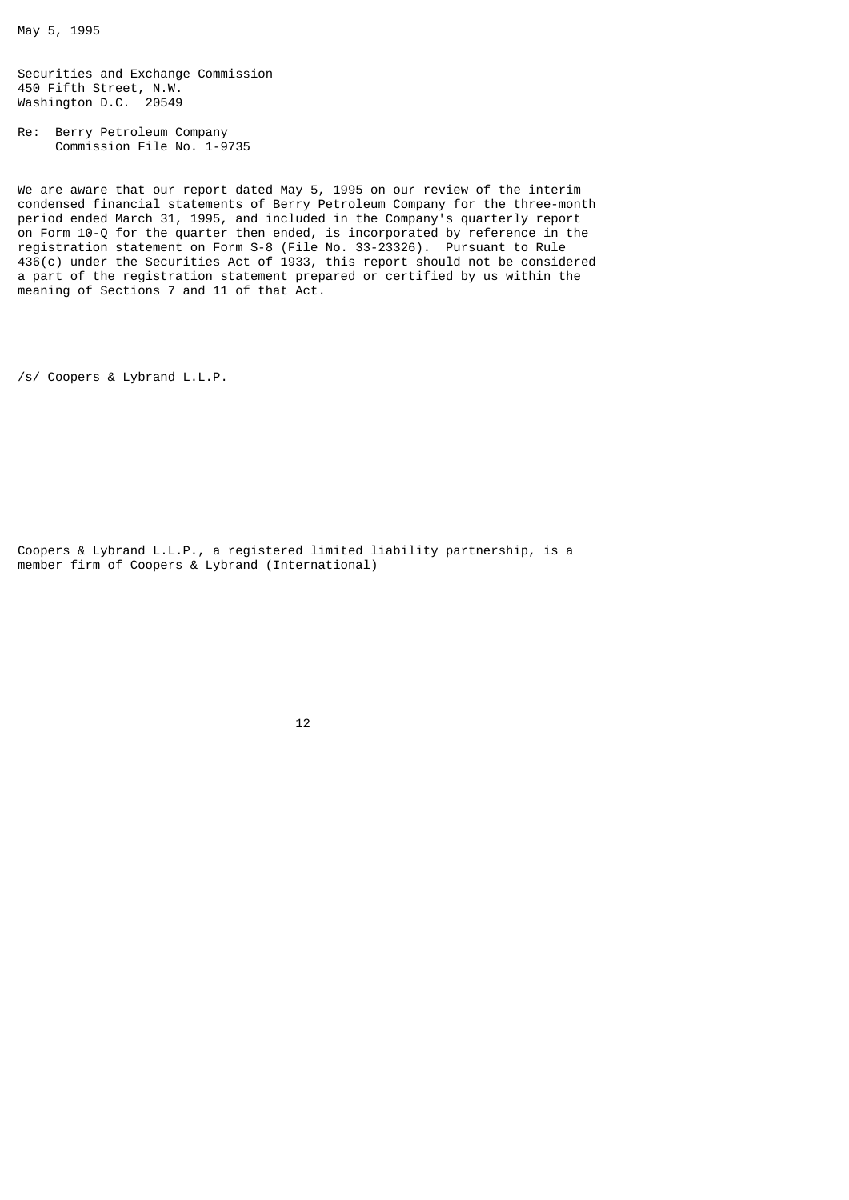May 5, 1995

Securities and Exchange Commission 450 Fifth Street, N.W. Washington D.C. 20549

Re: Berry Petroleum Company Commission File No. 1-9735

We are aware that our report dated May 5, 1995 on our review of the interim condensed financial statements of Berry Petroleum Company for the three-month period ended March 31, 1995, and included in the Company's quarterly report on Form 10-Q for the quarter then ended, is incorporated by reference in the registration statement on Form S-8 (File No. 33-23326). Pursuant to Rule 436(c) under the Securities Act of 1933, this report should not be considered a part of the registration statement prepared or certified by us within the meaning of Sections 7 and 11 of that Act.

/s/ Coopers & Lybrand L.L.P.

Coopers & Lybrand L.L.P., a registered limited liability partnership, is a member firm of Coopers & Lybrand (International)

 $12$